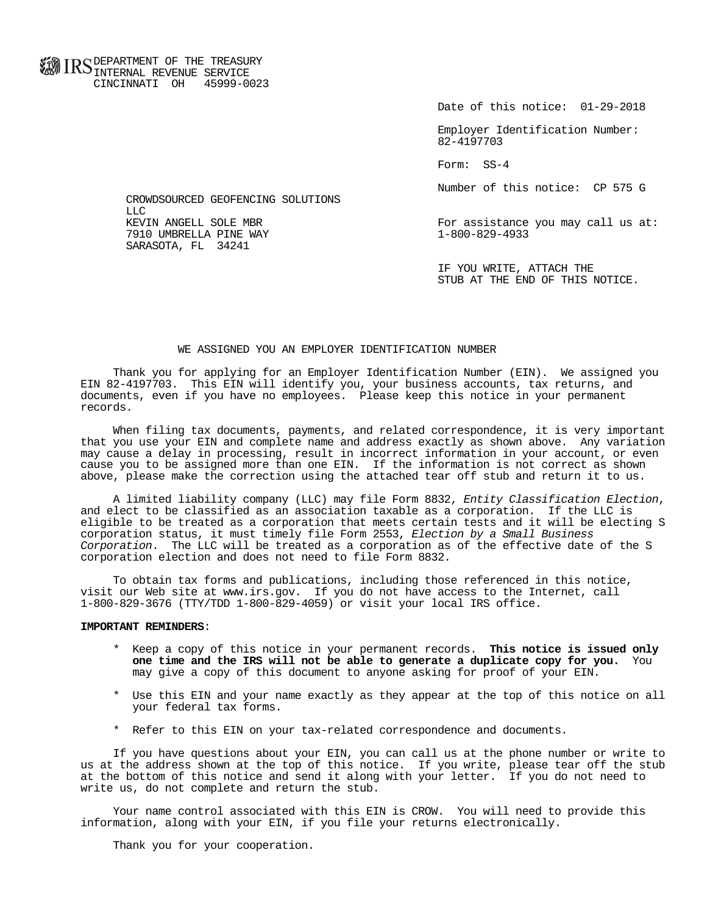**FOR ID C** DEPARTMENT OF THE TREASURY **WWW IIND** INTERNAL REVENUE SERVICE CINCINNATI OH 45999-0023

Date of this notice: 01-29-2018

 Employer Identification Number: 82-4197703

Form: SS-4

Number of this notice: CP 575 G

For assistance you may call us at:<br>1-800-829-4933

 IF YOU WRITE, ATTACH THE STUB AT THE END OF THIS NOTICE.

## WE ASSIGNED YOU AN EMPLOYER IDENTIFICATION NUMBER

 Thank you for applying for an Employer Identification Number (EIN). We assigned you EIN 82-4197703. This EIN will identify you, your business accounts, tax returns, and documents, even if you have no employees. Please keep this notice in your permanent records.

 When filing tax documents, payments, and related correspondence, it is very important that you use your EIN and complete name and address exactly as shown above. Any variation may cause a delay in processing, result in incorrect information in your account, or even cause you to be assigned more than one EIN. If the information is not correct as shown above, please make the correction using the attached tear off stub and return it to us.

 A limited liability company (LLC) may file Form 8832, Entity Classification Election, and elect to be classified as an association taxable as a corporation. If the LLC is eligible to be treated as a corporation that meets certain tests and it will be electing S corporation status, it must timely file Form 2553, Election by a Small Business Corporation. The LLC will be treated as a corporation as of the effective date of the S corporation election and does not need to file Form 8832.

 To obtain tax forms and publications, including those referenced in this notice, visit our Web site at www.irs.gov. If you do not have access to the Internet, call 1-800-829-3676 (TTY/TDD 1-800-829-4059) or visit your local IRS office.

## **IMPORTANT REMINDERS**:

- \* Keep a copy of this notice in your permanent records. **This notice is issued only one time and the IRS will not be able to generate a duplicate copy for you.** You may give a copy of this document to anyone asking for proof of your EIN.
- \* Use this EIN and your name exactly as they appear at the top of this notice on all your federal tax forms.
- \* Refer to this EIN on your tax-related correspondence and documents.

 If you have questions about your EIN, you can call us at the phone number or write to us at the address shown at the top of this notice. If you write, please tear off the stub at the bottom of this notice and send it along with your letter. If you do not need to write us, do not complete and return the stub.

 Your name control associated with this EIN is CROW. You will need to provide this information, along with your EIN, if you file your returns electronically.

Thank you for your cooperation.

 CROWDSOURCED GEOFENCING SOLUTIONS LLC<br>KEVIN ANGELL SOLE MBR 7910 UMBRELLA PINE WAY SARASOTA, FL 34241